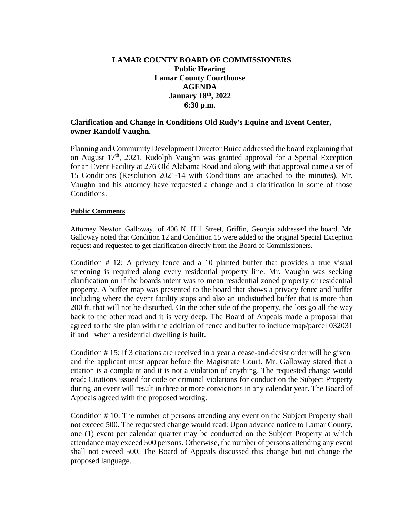# **LAMAR COUNTY BOARD OF COMMISSIONERS Public Hearing Lamar County Courthouse AGENDA January 18th, 2022 6:30 p.m.**

# **Clarification and Change in Conditions Old Rudy's Equine and Event Center, owner Randolf Vaughn.**

Planning and Community Development Director Buice addressed the board explaining that on August 17<sup>th</sup>, 2021, Rudolph Vaughn was granted approval for a Special Exception for an Event Facility at 276 Old Alabama Road and along with that approval came a set of 15 Conditions (Resolution 2021-14 with Conditions are attached to the minutes). Mr. Vaughn and his attorney have requested a change and a clarification in some of those Conditions.

#### **Public Comments**

Attorney Newton Galloway, of 406 N. Hill Street, Griffin, Georgia addressed the board. Mr. Galloway noted that Condition 12 and Condition 15 were added to the original Special Exception request and requested to get clarification directly from the Board of Commissioners.

Condition # 12: A privacy fence and a 10 planted buffer that provides a true visual screening is required along every residential property line. Mr. Vaughn was seeking clarification on if the boards intent was to mean residential zoned property or residential property. A buffer map was presented to the board that shows a privacy fence and buffer including where the event facility stops and also an undisturbed buffer that is more than 200 ft. that will not be disturbed. On the other side of the property, the lots go all the way back to the other road and it is very deep. The Board of Appeals made a proposal that agreed to the site plan with the addition of fence and buffer to include map/parcel 032031 if and when a residential dwelling is built.

 Condition # 15: If 3 citations are received in a year a cease-and-desist order will be given and the applicant must appear before the Magistrate Court. Mr. Galloway stated that a citation is a complaint and it is not a violation of anything. The requested change would read: Citations issued for code or criminal violations for conduct on the Subject Property during an event will result in three or more convictions in any calendar year. The Board of Appeals agreed with the proposed wording.

Condition # 10: The number of persons attending any event on the Subject Property shall not exceed 500. The requested change would read: Upon advance notice to Lamar County, one (1) event per calendar quarter may be conducted on the Subject Property at which attendance may exceed 500 persons. Otherwise, the number of persons attending any event shall not exceed 500. The Board of Appeals discussed this change but not change the proposed language.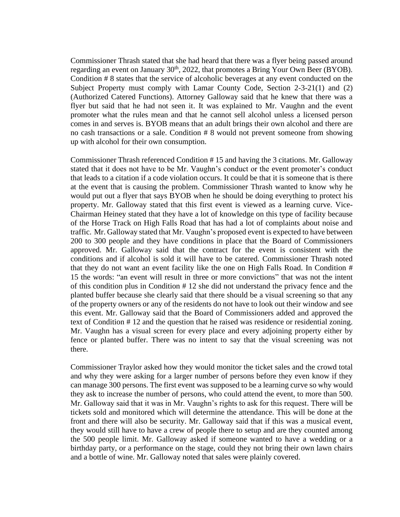Commissioner Thrash stated that she had heard that there was a flyer being passed around regarding an event on January  $30<sup>th</sup>$ , 2022, that promotes a Bring Your Own Beer (BYOB). Condition # 8 states that the service of alcoholic beverages at any event conducted on the Subject Property must comply with Lamar County Code, Section 2-3-21(1) and (2) (Authorized Catered Functions). Attorney Galloway said that he knew that there was a flyer but said that he had not seen it. It was explained to Mr. Vaughn and the event promoter what the rules mean and that he cannot sell alcohol unless a licensed person comes in and serves is. BYOB means that an adult brings their own alcohol and there are no cash transactions or a sale. Condition # 8 would not prevent someone from showing up with alcohol for their own consumption.

Commissioner Thrash referenced Condition # 15 and having the 3 citations. Mr. Galloway stated that it does not have to be Mr. Vaughn's conduct or the event promoter's conduct that leads to a citation if a code violation occurs. It could be that it is someone that is there at the event that is causing the problem. Commissioner Thrash wanted to know why he would put out a flyer that says BYOB when he should be doing everything to protect his property. Mr. Galloway stated that this first event is viewed as a learning curve. Vice-Chairman Heiney stated that they have a lot of knowledge on this type of facility because of the Horse Track on High Falls Road that has had a lot of complaints about noise and traffic. Mr. Galloway stated that Mr. Vaughn's proposed event is expected to have between 200 to 300 people and they have conditions in place that the Board of Commissioners approved. Mr. Galloway said that the contract for the event is consistent with the conditions and if alcohol is sold it will have to be catered. Commissioner Thrash noted that they do not want an event facility like the one on High Falls Road. In Condition # 15 the words: "an event will result in three or more convictions" that was not the intent of this condition plus in Condition # 12 she did not understand the privacy fence and the planted buffer because she clearly said that there should be a visual screening so that any of the property owners or any of the residents do not have to look out their window and see this event. Mr. Galloway said that the Board of Commissioners added and approved the text of Condition # 12 and the question that he raised was residence or residential zoning. Mr. Vaughn has a visual screen for every place and every adjoining property either by fence or planted buffer. There was no intent to say that the visual screening was not there.

Commissioner Traylor asked how they would monitor the ticket sales and the crowd total and why they were asking for a larger number of persons before they even know if they can manage 300 persons. The first event was supposed to be a learning curve so why would they ask to increase the number of persons, who could attend the event, to more than 500. Mr. Galloway said that it was in Mr. Vaughn's rights to ask for this request. There will be tickets sold and monitored which will determine the attendance. This will be done at the front and there will also be security. Mr. Galloway said that if this was a musical event, they would still have to have a crew of people there to setup and are they counted among the 500 people limit. Mr. Galloway asked if someone wanted to have a wedding or a birthday party, or a performance on the stage, could they not bring their own lawn chairs and a bottle of wine. Mr. Galloway noted that sales were plainly covered.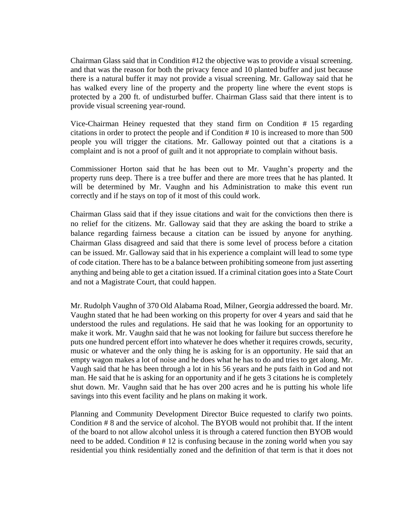Chairman Glass said that in Condition #12 the objective was to provide a visual screening. and that was the reason for both the privacy fence and 10 planted buffer and just because there is a natural buffer it may not provide a visual screening. Mr. Galloway said that he has walked every line of the property and the property line where the event stops is protected by a 200 ft. of undisturbed buffer. Chairman Glass said that there intent is to provide visual screening year-round.

Vice-Chairman Heiney requested that they stand firm on Condition # 15 regarding citations in order to protect the people and if Condition # 10 is increased to more than 500 people you will trigger the citations. Mr. Galloway pointed out that a citations is a complaint and is not a proof of guilt and it not appropriate to complain without basis.

Commissioner Horton said that he has been out to Mr. Vaughn's property and the property runs deep. There is a tree buffer and there are more trees that he has planted. It will be determined by Mr. Vaughn and his Administration to make this event run correctly and if he stays on top of it most of this could work.

Chairman Glass said that if they issue citations and wait for the convictions then there is no relief for the citizens. Mr. Galloway said that they are asking the board to strike a balance regarding fairness because a citation can be issued by anyone for anything. Chairman Glass disagreed and said that there is some level of process before a citation can be issued. Mr. Galloway said that in his experience a complaint will lead to some type of code citation. There has to be a balance between prohibiting someone from just asserting anything and being able to get a citation issued. If a criminal citation goes into a State Court and not a Magistrate Court, that could happen.

Mr. Rudolph Vaughn of 370 Old Alabama Road, Milner, Georgia addressed the board. Mr. Vaughn stated that he had been working on this property for over 4 years and said that he understood the rules and regulations. He said that he was looking for an opportunity to make it work. Mr. Vaughn said that he was not looking for failure but success therefore he puts one hundred percent effort into whatever he does whether it requires crowds, security, music or whatever and the only thing he is asking for is an opportunity. He said that an empty wagon makes a lot of noise and he does what he has to do and tries to get along. Mr. Vaugh said that he has been through a lot in his 56 years and he puts faith in God and not man. He said that he is asking for an opportunity and if he gets 3 citations he is completely shut down. Mr. Vaughn said that he has over 200 acres and he is putting his whole life savings into this event facility and he plans on making it work.

Planning and Community Development Director Buice requested to clarify two points. Condition # 8 and the service of alcohol. The BYOB would not prohibit that. If the intent of the board to not allow alcohol unless it is through a catered function then BYOB would need to be added. Condition # 12 is confusing because in the zoning world when you say residential you think residentially zoned and the definition of that term is that it does not